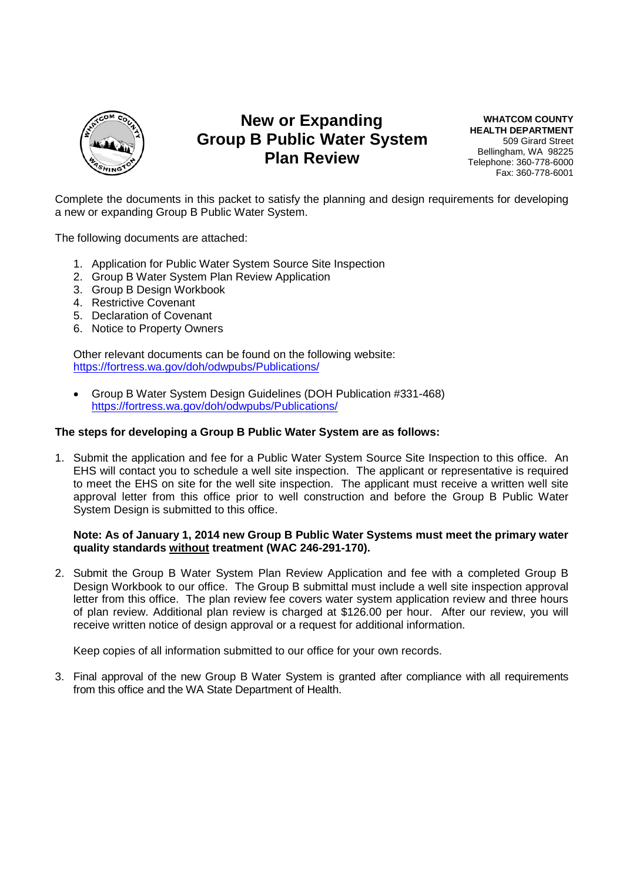

# **New or Expanding Group B Public Water System Plan Review**

**WHATCOM COUNTY HEALTH DEPARTMENT** 509 Girard Street Bellingham, WA 98225 Telephone: 360-778-6000 Fax: 360-778-6001

Complete the documents in this packet to satisfy the planning and design requirements for developing a new or expanding Group B Public Water System.

The following documents are attached:

- 1. Application for Public Water System Source Site Inspection
- 2. Group B Water System Plan Review Application
- 3. Group B Design Workbook
- 4. Restrictive Covenant
- 5. Declaration of Covenant
- 6. Notice to Property Owners

Other relevant documents can be found on the following website: https://fortress.wa.gov/doh/odwpubs/Publications/

 Group B Water System Design Guidelines (DOH Publication #331-468) https://fortress.wa.gov/doh/odwpubs/Publications/

#### **The steps for developing a Group B Public Water System are as follows:**

1. Submit the application and fee for a Public Water System Source Site Inspection to this office. An EHS will contact you to schedule a well site inspection. The applicant or representative is required to meet the EHS on site for the well site inspection. The applicant must receive a written well site approval letter from this office prior to well construction and before the Group B Public Water System Design is submitted to this office.

#### **Note: As of January 1, 2014 new Group B Public Water Systems must meet the primary water quality standards without treatment (WAC 246-291-170).**

2. Submit the Group B Water System Plan Review Application and fee with a completed Group B Design Workbook to our office. The Group B submittal must include a well site inspection approval letter from this office. The plan review fee covers water system application review and three hours of plan review. Additional plan review is charged at \$126.00 per hour. After our review, you will receive written notice of design approval or a request for additional information.

Keep copies of all information submitted to our office for your own records.

3. Final approval of the new Group B Water System is granted after compliance with all requirements from this office and the WA State Department of Health.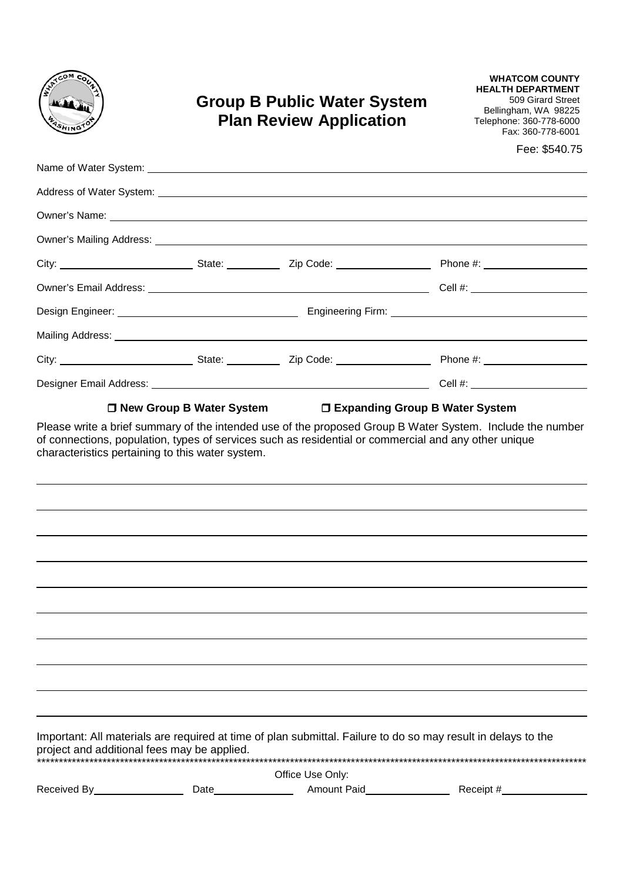| coм<br>coc,   |
|---------------|
|               |
| <b>ASHING</b> |

# **Group B Public Water System Plan Review Application**

**WHATCOM COUNTY HEALTH DEPARTMENT** 509 Girard Street Bellingham, WA 98225 Telephone: 360-778-6000 Fax: 360-778-6001

Fee: \$540.75

|                                                  | □ New Group B Water System |                  | □ Expanding Group B Water System                                                                              |
|--------------------------------------------------|----------------------------|------------------|---------------------------------------------------------------------------------------------------------------|
| characteristics pertaining to this water system. |                            |                  |                                                                                                               |
|                                                  |                            |                  |                                                                                                               |
|                                                  |                            |                  |                                                                                                               |
|                                                  |                            |                  |                                                                                                               |
|                                                  |                            |                  |                                                                                                               |
| project and additional fees may be applied.      |                            |                  | Important: All materials are required at time of plan submittal. Failure to do so may result in delays to the |
|                                                  |                            | Office Use Only: |                                                                                                               |
| Received By <b>Example 20</b>                    | Date______                 |                  | Receipt #                                                                                                     |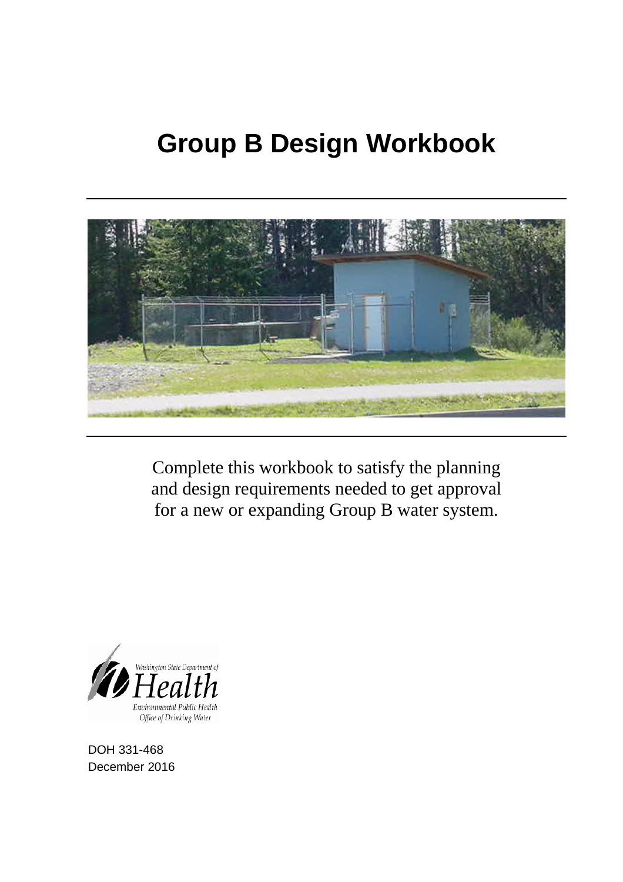# **Group B Design Workbook**



Complete this workbook to satisfy the planning and design requirements needed to get approval for a new or expanding Group B water system.



DOH 331-468 December 2016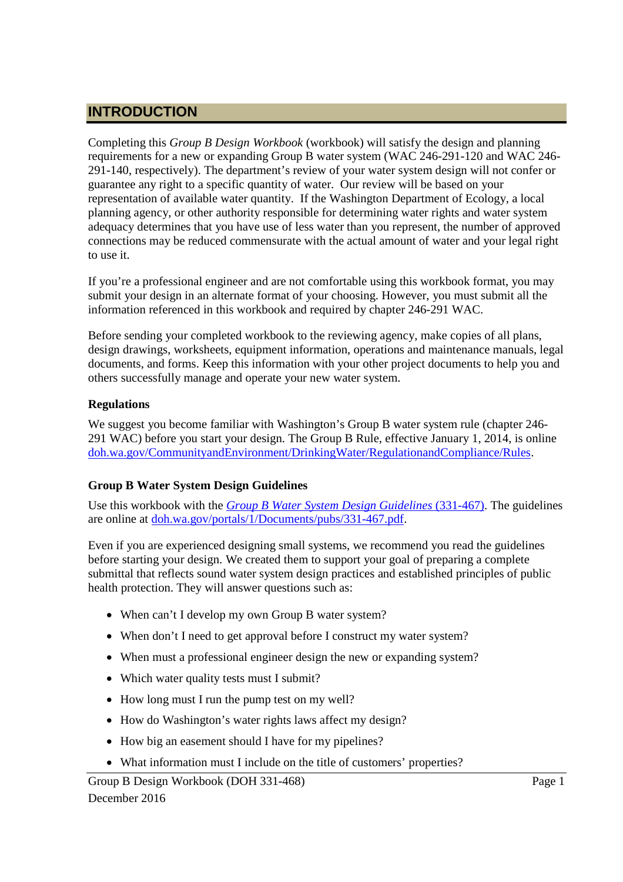# **INTRODUCTION**

Completing this *Group B Design Workbook* (workbook) will satisfy the design and planning requirements for a new or expanding Group B water system (WAC 246-291-120 and WAC 246- 291-140, respectively). The department's review of your water system design will not confer or guarantee any right to a specific quantity of water. Our review will be based on your representation of available water quantity. If the Washington Department of Ecology, a local planning agency, or other authority responsible for determining water rights and water system adequacy determines that you have use of less water than you represent, the number of approved connections may be reduced commensurate with the actual amount of water and your legal right to use it.

If you're a professional engineer and are not comfortable using this workbook format, you may submit your design in an alternate format of your choosing. However, you must submit all the information referenced in this workbook and required by chapter 246-291 WAC.

Before sending your completed workbook to the reviewing agency, make copies of all plans, design drawings, worksheets, equipment information, operations and maintenance manuals, legal documents, and forms. Keep this information with your other project documents to help you and others successfully manage and operate your new water system.

### **Regulations**

We suggest you become familiar with Washington's Group B water system rule (chapter 246- 291 WAC) before you start your design. The Group B Rule, effective January 1, 2014, is online doh.wa.gov/CommunityandEnvironment/DrinkingWater/RegulationandCompliance/Rules.

# **Group B Water System Design Guidelines**

Use this workbook with the *Group B Water System Design Guidelines* (331-467). The guidelines are online at doh.wa.gov/portals/1/Documents/pubs/331-467.pdf.

Even if you are experienced designing small systems, we recommend you read the guidelines before starting your design. We created them to support your goal of preparing a complete submittal that reflects sound water system design practices and established principles of public health protection. They will answer questions such as:

- When can't I develop my own Group B water system?
- When don't I need to get approval before I construct my water system?
- When must a professional engineer design the new or expanding system?
- Which water quality tests must I submit?
- How long must I run the pump test on my well?
- How do Washington's water rights laws affect my design?
- How big an easement should I have for my pipelines?
- What information must I include on the title of customers' properties?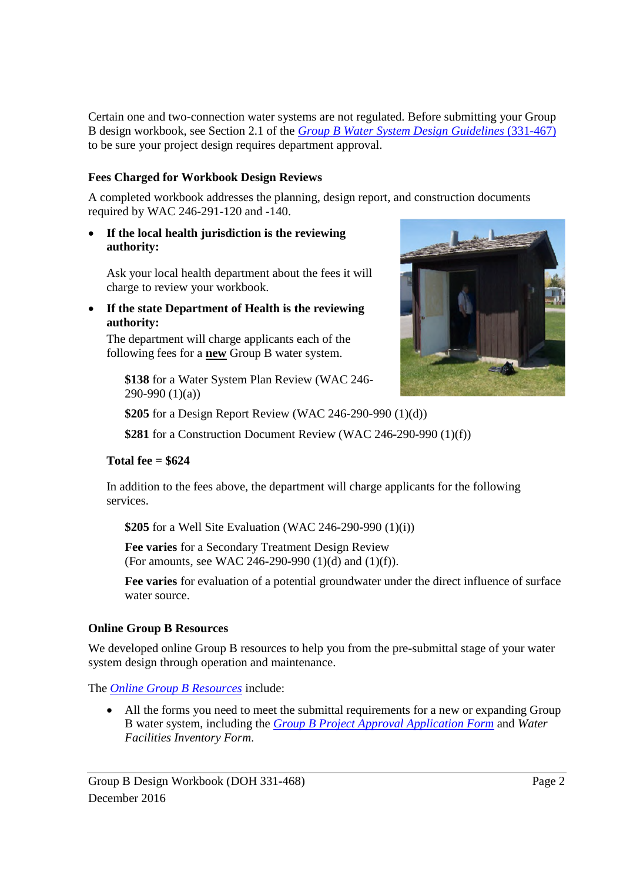Certain one and two-connection water systems are not regulated. Before submitting your Group B design workbook, see Section 2.1 of the *Group B Water System Design Guidelines* (331-467) to be sure your project design requires department approval.

### **Fees Charged for Workbook Design Reviews**

A completed workbook addresses the planning, design report, and construction documents required by WAC 246-291-120 and -140.

 **If the local health jurisdiction is the reviewing authority:**

Ask your local health department about the fees it will charge to review your workbook.

 **If the state Department of Health is the reviewing authority:**

The department will charge applicants each of the following fees for a **new** Group B water system.

**\$138** for a Water System Plan Review (WAC 246- 290-990 (1)(a))



**\$205** for a Design Report Review (WAC 246-290-990 (1)(d))

**\$281** for a Construction Document Review (WAC 246-290-990 (1)(f))

### **Total fee = \$624**

In addition to the fees above, the department will charge applicants for the following services.

**\$205** for a Well Site Evaluation (WAC 246-290-990 (1)(i))

**Fee varies** for a Secondary Treatment Design Review (For amounts, see WAC 246-290-990 (1)(d) and (1)(f)).

**Fee varies** for evaluation of a potential groundwater under the direct influence of surface water source.

### **Online Group B Resources**

We developed online Group B resources to help you from the pre-submittal stage of your water system design through operation and maintenance.

The *Online Group B Resources* include:

 All the forms you need to meet the submittal requirements for a new or expanding Group B water system, including the *Group B Project Approval Application Form* and *Water Facilities Inventory Form*.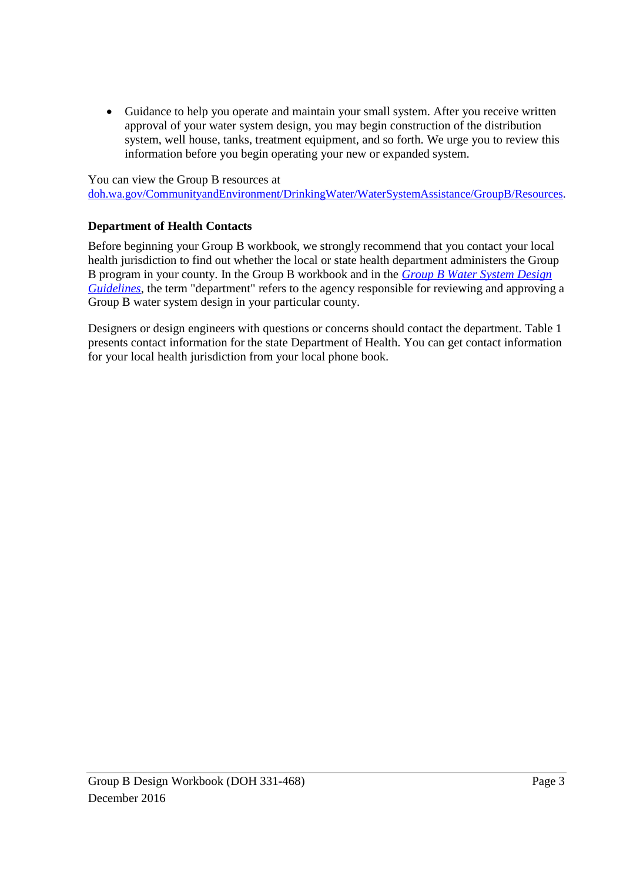Guidance to help you operate and maintain your small system. After you receive written approval of your water system design, you may begin construction of the distribution system, well house, tanks, treatment equipment, and so forth. We urge you to review this information before you begin operating your new or expanded system.

You can view the Group B resources at

doh.wa.gov/CommunityandEnvironment/DrinkingWater/WaterSystemAssistance/GroupB/Resources.

### **Department of Health Contacts**

Before beginning your Group B workbook, we strongly recommend that you contact your local health jurisdiction to find out whether the local or state health department administers the Group B program in your county. In the Group B workbook and in the *Group B Water System Design Guidelines*, the term "department" refers to the agency responsible for reviewing and approving a Group B water system design in your particular county.

Designers or design engineers with questions or concerns should contact the department. Table 1 presents contact information for the state Department of Health. You can get contact information for your local health jurisdiction from your local phone book.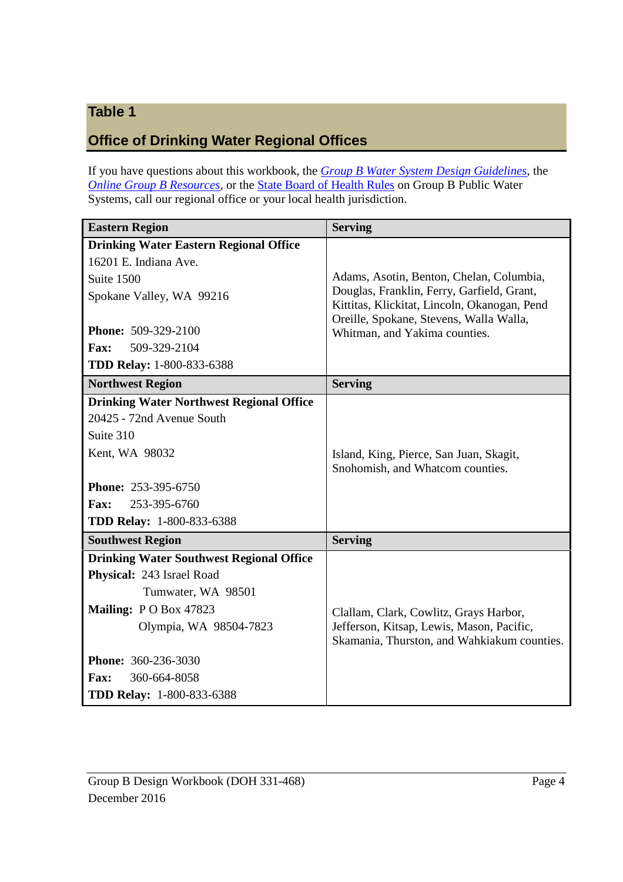# **Table 1**

# **Office of Drinking Water Regional Offices**

If you have questions about this workbook, the *Group B Water System Design Guidelines*, the *Online Group B Resources*, or the **State Board of Health Rules** on Group B Public Water Systems, call our regional office or your local health jurisdiction.

| <b>Eastern Region</b>                           | <b>Serving</b>                                                                             |
|-------------------------------------------------|--------------------------------------------------------------------------------------------|
| <b>Drinking Water Eastern Regional Office</b>   |                                                                                            |
| 16201 E. Indiana Ave.                           |                                                                                            |
| Suite 1500                                      | Adams, Asotin, Benton, Chelan, Columbia,                                                   |
| Spokane Valley, WA 99216                        | Douglas, Franklin, Ferry, Garfield, Grant,<br>Kittitas, Klickitat, Lincoln, Okanogan, Pend |
|                                                 | Oreille, Spokane, Stevens, Walla Walla,                                                    |
| Phone: 509-329-2100                             | Whitman, and Yakima counties.                                                              |
| <b>Fax:</b><br>509-329-2104                     |                                                                                            |
| <b>TDD Relay: 1-800-833-6388</b>                |                                                                                            |
| <b>Northwest Region</b>                         | <b>Serving</b>                                                                             |
| <b>Drinking Water Northwest Regional Office</b> |                                                                                            |
| 20425 - 72nd Avenue South                       |                                                                                            |
| Suite 310                                       |                                                                                            |
| Kent, WA 98032                                  | Island, King, Pierce, San Juan, Skagit,                                                    |
|                                                 | Snohomish, and Whatcom counties.                                                           |
| <b>Phone: 253-395-6750</b>                      |                                                                                            |
| <b>Fax:</b><br>253-395-6760                     |                                                                                            |
| <b>TDD Relay: 1-800-833-6388</b>                |                                                                                            |
| <b>Southwest Region</b>                         | <b>Serving</b>                                                                             |
| <b>Drinking Water Southwest Regional Office</b> |                                                                                            |
| Physical: 243 Israel Road                       |                                                                                            |
| Tumwater, WA 98501                              |                                                                                            |
| Mailing: PO Box 47823                           | Clallam, Clark, Cowlitz, Grays Harbor,                                                     |
| Olympia, WA 98504-7823                          | Jefferson, Kitsap, Lewis, Mason, Pacific,                                                  |
|                                                 | Skamania, Thurston, and Wahkiakum counties.                                                |
| <b>Phone: 360-236-3030</b>                      |                                                                                            |
| 360-664-8058<br><b>Fax:</b>                     |                                                                                            |
| <b>TDD Relay: 1-800-833-6388</b>                |                                                                                            |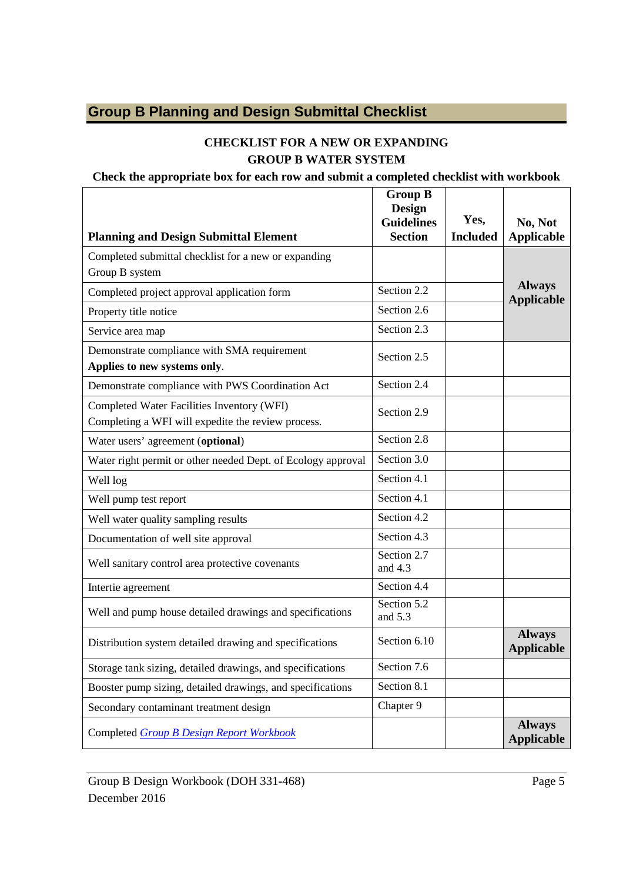# **Group B Planning and Design Submittal Checklist**

# **CHECKLIST FOR A NEW OR EXPANDING GROUP B WATER SYSTEM**

#### **Check the appropriate box for each row and submit a completed checklist with workbook**

| <b>Planning and Design Submittal Element</b>                                                     | <b>Group B</b><br>Design<br><b>Guidelines</b><br><b>Section</b> | Yes,<br><b>Included</b> | No, Not<br><b>Applicable</b>       |
|--------------------------------------------------------------------------------------------------|-----------------------------------------------------------------|-------------------------|------------------------------------|
| Completed submittal checklist for a new or expanding<br>Group B system                           |                                                                 |                         |                                    |
| Completed project approval application form                                                      | Section 2.2                                                     |                         | <b>Always</b><br><b>Applicable</b> |
| Property title notice                                                                            | Section 2.6                                                     |                         |                                    |
| Service area map                                                                                 | Section 2.3                                                     |                         |                                    |
| Demonstrate compliance with SMA requirement<br>Applies to new systems only.                      | Section 2.5                                                     |                         |                                    |
| Demonstrate compliance with PWS Coordination Act                                                 | Section 2.4                                                     |                         |                                    |
| Completed Water Facilities Inventory (WFI)<br>Completing a WFI will expedite the review process. | Section 2.9                                                     |                         |                                    |
| Water users' agreement (optional)                                                                | Section 2.8                                                     |                         |                                    |
| Water right permit or other needed Dept. of Ecology approval                                     | Section 3.0                                                     |                         |                                    |
| Well log                                                                                         | Section 4.1                                                     |                         |                                    |
| Well pump test report                                                                            | Section 4.1                                                     |                         |                                    |
| Well water quality sampling results                                                              | Section 4.2                                                     |                         |                                    |
| Documentation of well site approval                                                              | Section 4.3                                                     |                         |                                    |
| Well sanitary control area protective covenants                                                  | Section 2.7<br>and $4.3$                                        |                         |                                    |
| Intertie agreement                                                                               | Section 4.4                                                     |                         |                                    |
| Well and pump house detailed drawings and specifications                                         | Section 5.2<br>and 5.3                                          |                         |                                    |
| Distribution system detailed drawing and specifications                                          | Section 6.10                                                    |                         | <b>Always</b><br><b>Applicable</b> |
| Storage tank sizing, detailed drawings, and specifications                                       | Section 7.6                                                     |                         |                                    |
| Booster pump sizing, detailed drawings, and specifications                                       | Section 8.1                                                     |                         |                                    |
| Secondary contaminant treatment design                                                           | Chapter 9                                                       |                         |                                    |
| Completed Group B Design Report Workbook                                                         |                                                                 |                         | <b>Always</b><br><b>Applicable</b> |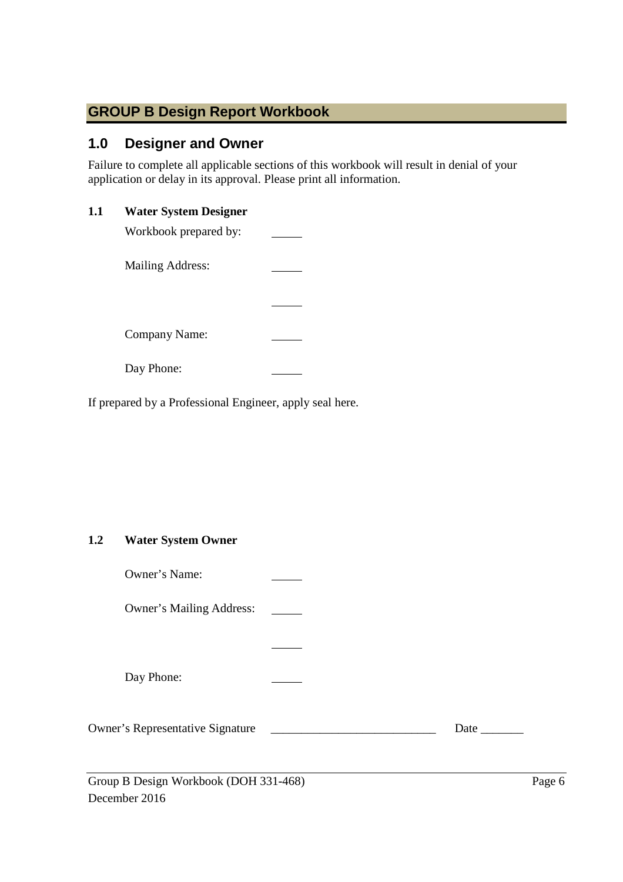# **GROUP B Design Report Workbook**

# **1.0 Designer and Owner**

Failure to complete all applicable sections of this workbook will result in denial of your application or delay in its approval. Please print all information.

### **1.1 Water System Designer**

| Workbook prepared by: |  |
|-----------------------|--|
| Mailing Address:      |  |
|                       |  |
| <b>Company Name:</b>  |  |
| Day Phone:            |  |

If prepared by a Professional Engineer, apply seal here.

# **1.2 Water System Owner**

| Owner's Name:                           |             |
|-----------------------------------------|-------------|
| <b>Owner's Mailing Address:</b>         |             |
|                                         |             |
| Day Phone:                              |             |
| <b>Owner's Representative Signature</b> | Date $\_\_$ |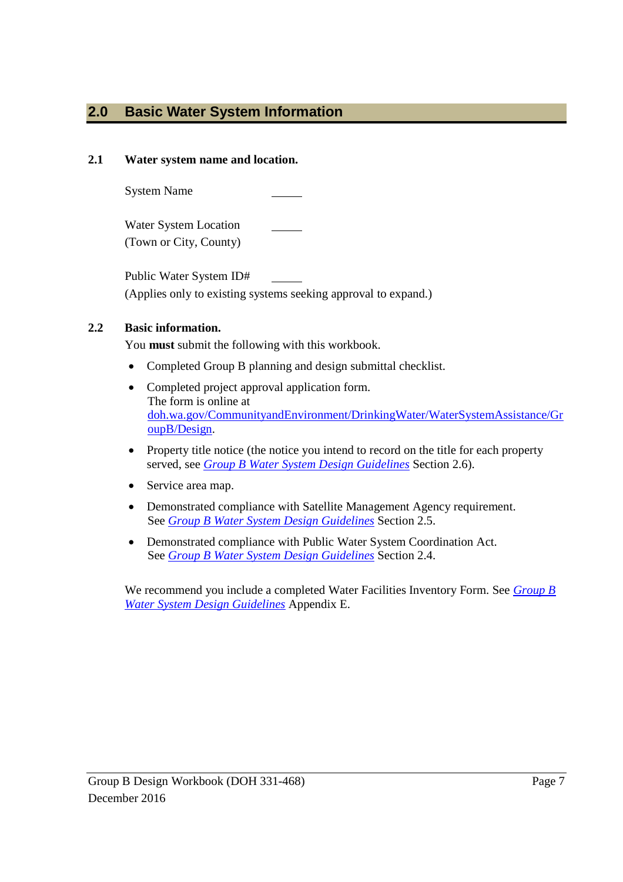# **2.0 Basic Water System Information**

### **2.1 Water system name and location.**

System Name

Water System Location (Town or City, County)

Public Water System ID# (Applies only to existing systems seeking approval to expand.)

# **2.2 Basic information.**

You **must** submit the following with this workbook.

- Completed Group B planning and design submittal checklist.
- Completed project approval application form. The form is online at doh.wa.gov/CommunityandEnvironment/DrinkingWater/WaterSystemAssistance/Gr oupB/Design.
- Property title notice (the notice you intend to record on the title for each property served, see *Group B Water System Design Guidelines* Section 2.6).
- Service area map.
- Demonstrated compliance with Satellite Management Agency requirement. See *Group B Water System Design Guidelines* Section 2.5.
- Demonstrated compliance with Public Water System Coordination Act. See *Group B Water System Design Guidelines* Section 2.4.

We recommend you include a completed Water Facilities Inventory Form. See *Group B Water System Design Guidelines* Appendix E.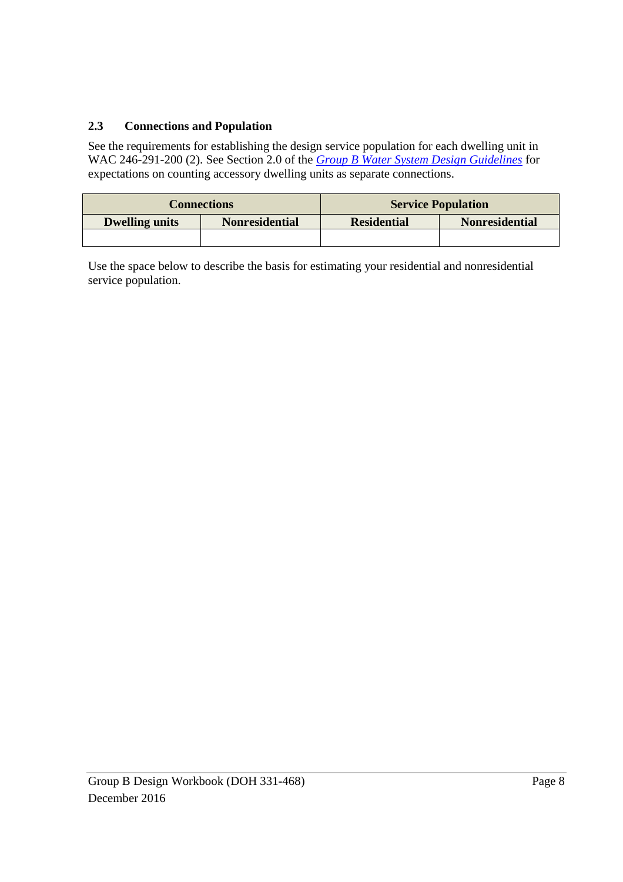# **2.3 Connections and Population**

See the requirements for establishing the design service population for each dwelling unit in WAC 246-291-200 (2). See Section 2.0 of the *Group B Water System Design Guidelines* for expectations on counting accessory dwelling units as separate connections.

|                       | <b>Connections</b>    | <b>Service Population</b>                   |  |  |
|-----------------------|-----------------------|---------------------------------------------|--|--|
| <b>Dwelling units</b> | <b>Nonresidential</b> | <b>Nonresidential</b><br><b>Residential</b> |  |  |
|                       |                       |                                             |  |  |

Use the space below to describe the basis for estimating your residential and nonresidential service population.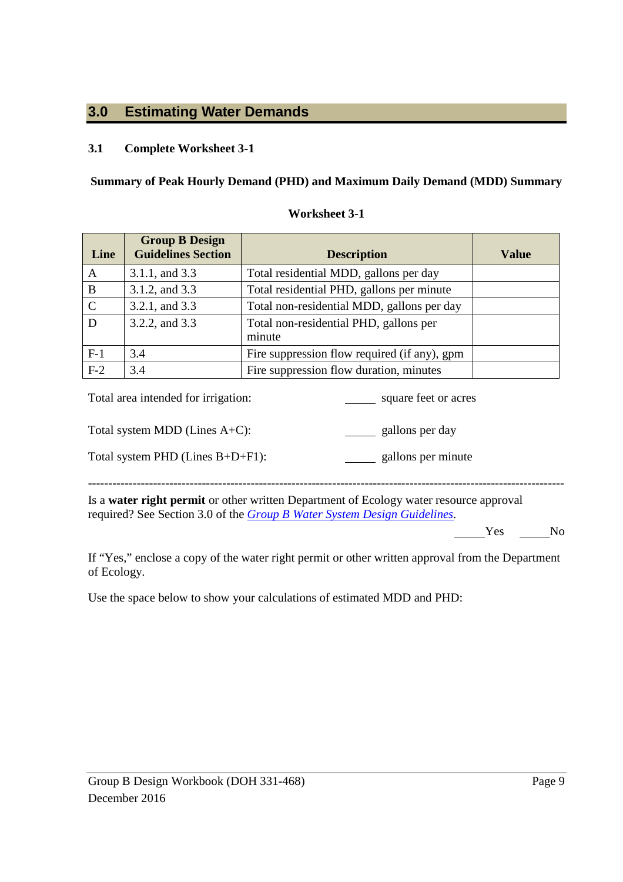# **3.0 Estimating Water Demands**

# **3.1 Complete Worksheet 3-1**

### **Summary of Peak Hourly Demand (PHD) and Maximum Daily Demand (MDD) Summary**

| Line        | <b>Group B Design</b><br><b>Guidelines Section</b> | <b>Description</b>                               | <b>Value</b> |
|-------------|----------------------------------------------------|--------------------------------------------------|--------------|
| A           | 3.1.1, and 3.3                                     | Total residential MDD, gallons per day           |              |
| B           | 3.1.2, and 3.3                                     | Total residential PHD, gallons per minute        |              |
| $\mathbf C$ | 3.2.1, and 3.3                                     | Total non-residential MDD, gallons per day       |              |
| D           | 3.2.2, and 3.3                                     | Total non-residential PHD, gallons per<br>minute |              |
| $F-1$       | 3.4                                                | Fire suppression flow required (if any), gpm     |              |
| $F-2$       | 3.4                                                | Fire suppression flow duration, minutes          |              |

#### **Worksheet 3-1**

| Total area intended for irrigation: | square feet or acres |
|-------------------------------------|----------------------|
| Total system MDD (Lines $A+C$ ):    | gallons per day      |
| Total system PHD (Lines $B+D+F1$ ): | gallons per minute   |
|                                     |                      |

Is a **water right permit** or other written Department of Ecology water resource approval required? See Section 3.0 of the *Group B Water System Design Guidelines.*

Yes No

If "Yes," enclose a copy of the water right permit or other written approval from the Department of Ecology.

Use the space below to show your calculations of estimated MDD and PHD: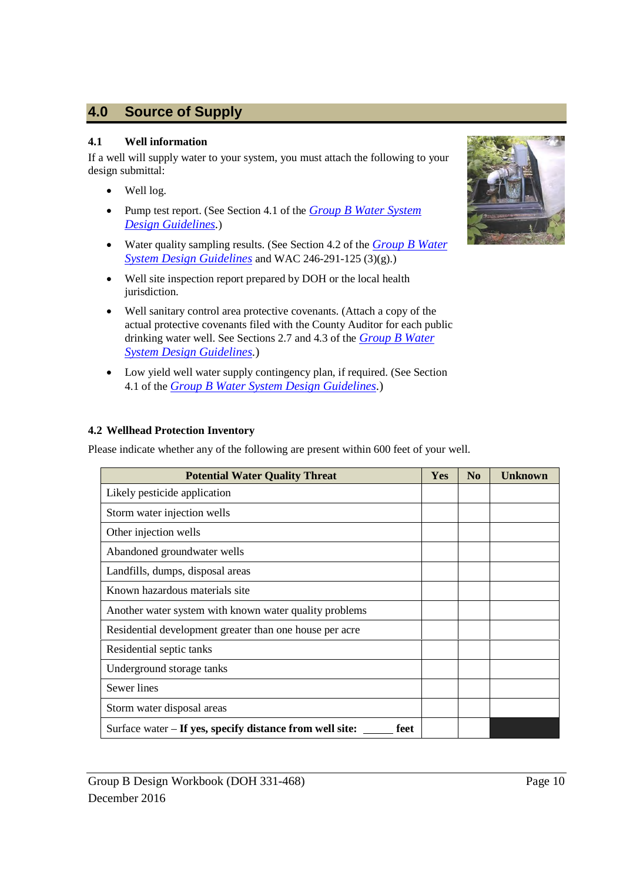# **4.0 Source of Supply**

#### **4.1 Well information**

If a well will supply water to your system, you must attach the following to your design submittal:

- Well log.
- Pump test report. (See Section 4.1 of the *Group B Water System Design Guidelines.*)
- Water quality sampling results. (See Section 4.2 of the *Group B Water System Design Guidelines* and WAC 246-291-125 (3)(g).)
- Well site inspection report prepared by DOH or the local health jurisdiction.
- Well sanitary control area protective covenants. (Attach a copy of the actual protective covenants filed with the County Auditor for each public drinking water well. See Sections 2.7 and 4.3 of the *Group B Water System Design Guidelines.*)
- Low yield well water supply contingency plan, if required. (See Section 4.1 of the *Group B Water System Design Guidelines.*)

### **4.2 Wellhead Protection Inventory**

Please indicate whether any of the following are present within 600 feet of your well.

| <b>Potential Water Quality Threat</b>                            | <b>Yes</b> | N <sub>0</sub> | <b>Unknown</b> |
|------------------------------------------------------------------|------------|----------------|----------------|
| Likely pesticide application                                     |            |                |                |
| Storm water injection wells                                      |            |                |                |
| Other injection wells                                            |            |                |                |
| Abandoned groundwater wells                                      |            |                |                |
| Landfills, dumps, disposal areas                                 |            |                |                |
| Known hazardous materials site                                   |            |                |                |
| Another water system with known water quality problems           |            |                |                |
| Residential development greater than one house per acre          |            |                |                |
| Residential septic tanks                                         |            |                |                |
| Underground storage tanks                                        |            |                |                |
| Sewer lines                                                      |            |                |                |
| Storm water disposal areas                                       |            |                |                |
| Surface water – If yes, specify distance from well site:<br>feet |            |                |                |

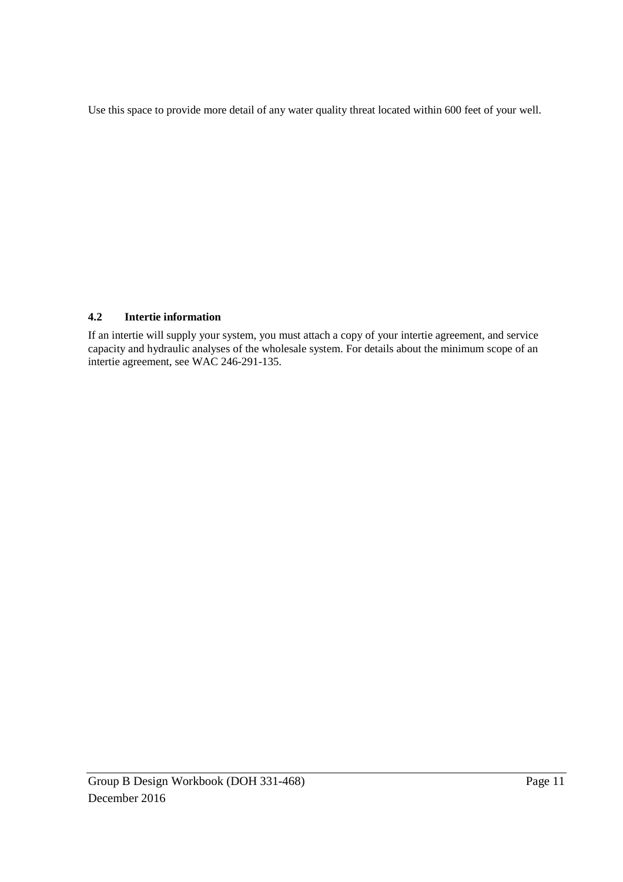Use this space to provide more detail of any water quality threat located within 600 feet of your well.

### **4.2 Intertie information**

If an intertie will supply your system, you must attach a copy of your intertie agreement, and service capacity and hydraulic analyses of the wholesale system. For details about the minimum scope of an intertie agreement, see WAC 246-291-135.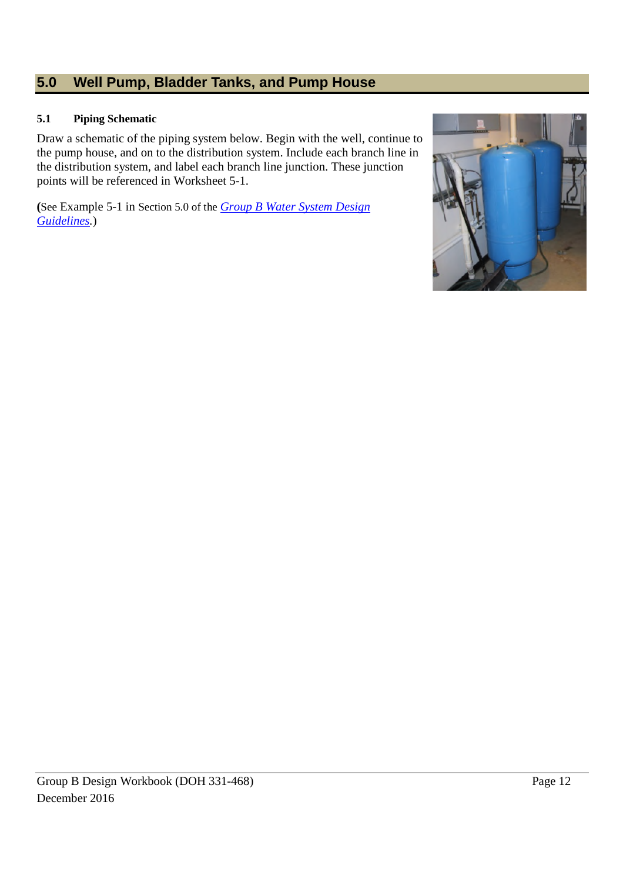# **5.0 Well Pump, Bladder Tanks, and Pump House**

#### **5.1 Piping Schematic**

Draw a schematic of the piping system below. Begin with the well, continue to the pump house, and on to the distribution system. Include each branch line in the distribution system, and label each branch line junction. These junction points will be referenced in Worksheet 5-1.

**(**See Example 5-1 in Section 5.0 of the *Group B Water System Design Guidelines.*)

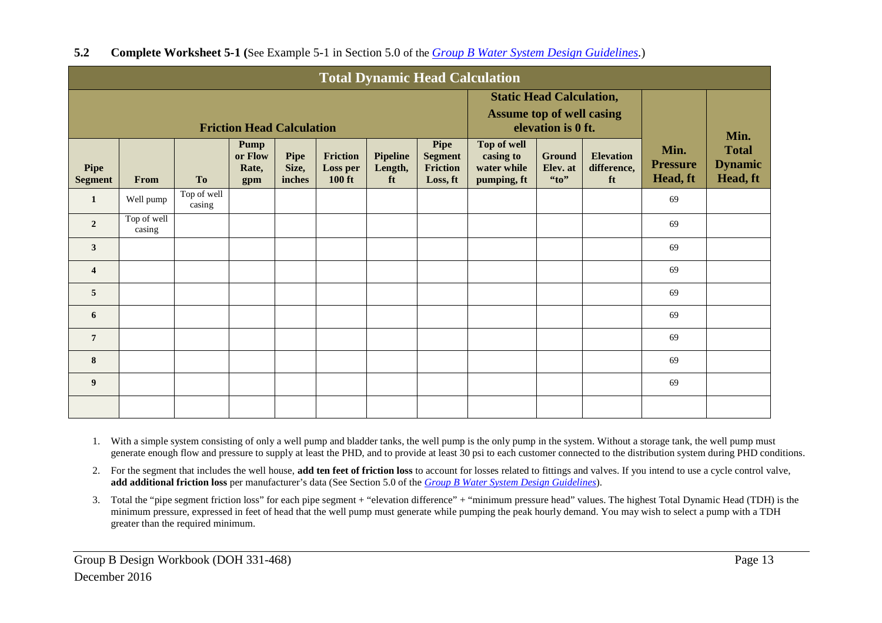| <b>Total Dynamic Head Calculation</b> |                       |                       |                                        |                                                                                           |                                       |                                  |                                                |                                                        |                                    |                                       |                                     |                                                    |
|---------------------------------------|-----------------------|-----------------------|----------------------------------------|-------------------------------------------------------------------------------------------|---------------------------------------|----------------------------------|------------------------------------------------|--------------------------------------------------------|------------------------------------|---------------------------------------|-------------------------------------|----------------------------------------------------|
| <b>Friction Head Calculation</b>      |                       |                       |                                        | <b>Static Head Calculation,</b><br><b>Assume top of well casing</b><br>elevation is 0 ft. |                                       |                                  |                                                |                                                        |                                    |                                       |                                     |                                                    |
| Pipe<br><b>Segment</b>                | From                  | <b>To</b>             | <b>Pump</b><br>or Flow<br>Rate,<br>gpm | <b>Pipe</b><br>Size,<br>inches                                                            | Friction<br>Loss per<br><b>100 ft</b> | <b>Pipeline</b><br>Length,<br>ft | Pipe<br><b>Segment</b><br>Friction<br>Loss, ft | Top of well<br>casing to<br>water while<br>pumping, ft | <b>Ground</b><br>Elev. at<br>``to" | <b>Elevation</b><br>difference,<br>ft | Min.<br><b>Pressure</b><br>Head, ft | Min.<br><b>Total</b><br><b>Dynamic</b><br>Head, ft |
| 1                                     | Well pump             | Top of well<br>casing |                                        |                                                                                           |                                       |                                  |                                                |                                                        |                                    |                                       | 69                                  |                                                    |
| $\overline{2}$                        | Top of well<br>casing |                       |                                        |                                                                                           |                                       |                                  |                                                |                                                        |                                    |                                       | 69                                  |                                                    |
| $\overline{3}$                        |                       |                       |                                        |                                                                                           |                                       |                                  |                                                |                                                        |                                    |                                       | 69                                  |                                                    |
| $\overline{4}$                        |                       |                       |                                        |                                                                                           |                                       |                                  |                                                |                                                        |                                    |                                       | 69                                  |                                                    |
| 5                                     |                       |                       |                                        |                                                                                           |                                       |                                  |                                                |                                                        |                                    |                                       | 69                                  |                                                    |
| 6                                     |                       |                       |                                        |                                                                                           |                                       |                                  |                                                |                                                        |                                    |                                       | 69                                  |                                                    |
| $\overline{7}$                        |                       |                       |                                        |                                                                                           |                                       |                                  |                                                |                                                        |                                    |                                       | 69                                  |                                                    |
| 8                                     |                       |                       |                                        |                                                                                           |                                       |                                  |                                                |                                                        |                                    |                                       | 69                                  |                                                    |
| 9                                     |                       |                       |                                        |                                                                                           |                                       |                                  |                                                |                                                        |                                    |                                       | 69                                  |                                                    |
|                                       |                       |                       |                                        |                                                                                           |                                       |                                  |                                                |                                                        |                                    |                                       |                                     |                                                    |

# **5.2 Complete Worksheet 5-1 (**See Example 5-1 in Section 5.0 of the *Group B Water System Design Guidelines.*)

1. With a simple system consisting of only a well pump and bladder tanks, the well pump is the only pump in the system. Without a storage tank, the well pump must generate enough flow and pressure to supply at least the PHD, and to provide at least 30 psi to each customer connected to the distribution system during PHD conditions.

2. For the segment that includes the well house, **add ten feet of friction loss** to account for losses related to fittings and valves. If you intend to use a cycle control valve, **add additional friction loss** per manufacturer's data (See Section 5.0 of the *Group B Water System Design Guidelines*).

3. Total the "pipe segment friction loss" for each pipe segment + "elevation difference" + "minimum pressure head" values. The highest Total Dynamic Head (TDH) is the minimum pressure, expressed in feet of head that the well pump must generate while pumping the peak hourly demand. You may wish to select a pump with a TDH greater than the required minimum.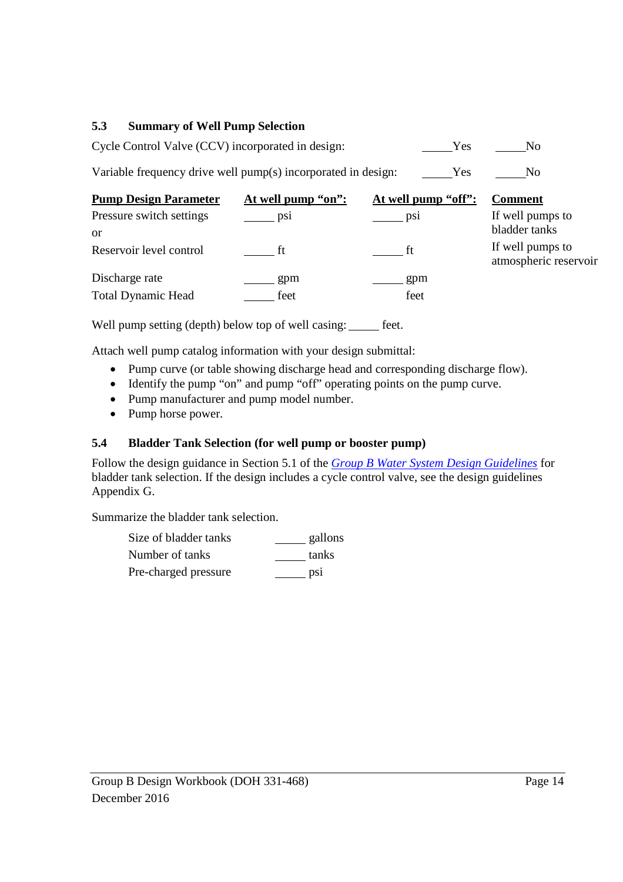### **5.3 Summary of Well Pump Selection**

| Cycle Control Valve (CCV) incorporated in design: | Yes |  |
|---------------------------------------------------|-----|--|
|---------------------------------------------------|-----|--|

Variable frequency drive well pump(s) incorporated in design: Yes No

| <b>Pump Design Parameter</b> | At well pump "on": | At well pump "off": | <b>Comment</b>                            |
|------------------------------|--------------------|---------------------|-------------------------------------------|
| Pressure switch settings     | DS1                | psi                 | If well pumps to                          |
| or                           |                    |                     | bladder tanks                             |
| Reservoir level control      |                    | ft t                | If well pumps to<br>atmospheric reservoir |
| Discharge rate               | gpm                | gpm                 |                                           |
| <b>Total Dynamic Head</b>    | feet               | feet                |                                           |

Well pump setting (depth) below top of well casing: \_\_\_\_\_ feet.

Attach well pump catalog information with your design submittal:

- Pump curve (or table showing discharge head and corresponding discharge flow).
- Identify the pump "on" and pump "off" operating points on the pump curve.
- Pump manufacturer and pump model number.
- Pump horse power.

### **5.4 Bladder Tank Selection (for well pump or booster pump)**

Follow the design guidance in Section 5.1 of the *Group B Water System Design Guidelines* for bladder tank selection. If the design includes a cycle control valve, see the design guidelines Appendix G.

Summarize the bladder tank selection.

| Size of bladder tanks | gallons |
|-----------------------|---------|
| Number of tanks       | tanks   |
| Pre-charged pressure  | psi     |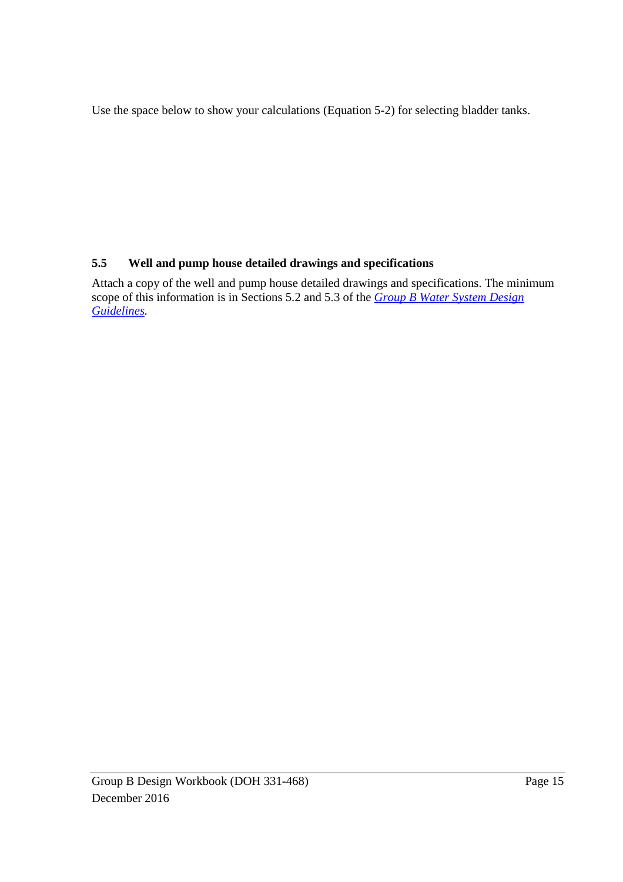Use the space below to show your calculations (Equation 5-2) for selecting bladder tanks.

# **5.5 Well and pump house detailed drawings and specifications**

Attach a copy of the well and pump house detailed drawings and specifications. The minimum scope of this information is in Sections 5.2 and 5.3 of the *Group B Water System Design Guidelines.*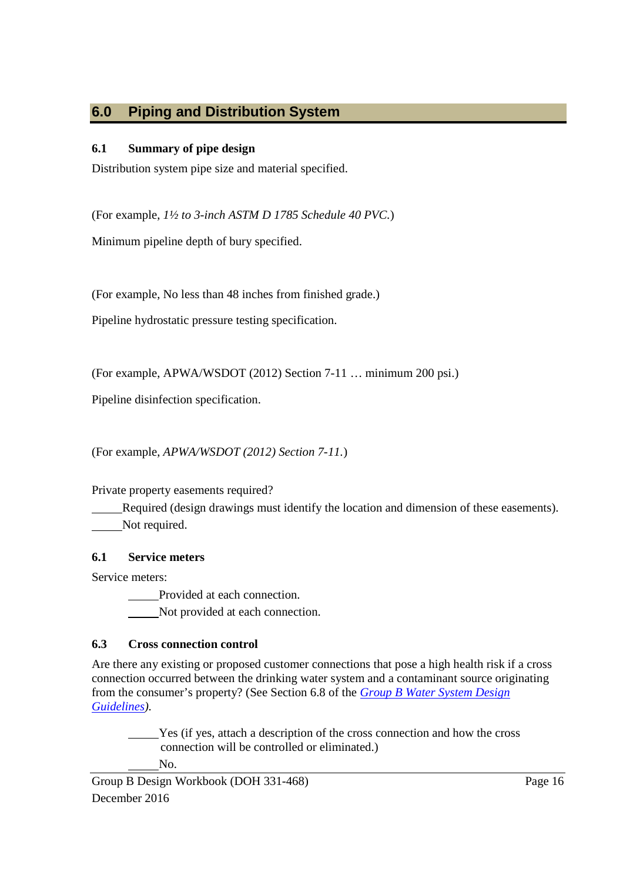# **6.0 Piping and Distribution System**

# **6.1 Summary of pipe design**

Distribution system pipe size and material specified.

(For example, *1½ to 3-inch ASTM D 1785 Schedule 40 PVC.*)

Minimum pipeline depth of bury specified.

(For example, No less than 48 inches from finished grade.)

Pipeline hydrostatic pressure testing specification.

(For example, APWA/WSDOT (2012) Section 7-11 … minimum 200 psi.)

Pipeline disinfection specification.

(For example, *APWA/WSDOT (2012) Section 7-11.*)

# Private property easements required?

Required (design drawings must identify the location and dimension of these easements). Not required.

# **6.1 Service meters**

Service meters:

Provided at each connection.

Not provided at each connection.

# **6.3 Cross connection control**

Are there any existing or proposed customer connections that pose a high health risk if a cross connection occurred between the drinking water system and a contaminant source originating from the consumer's property? (See Section 6.8 of the *Group B Water System Design Guidelines).*

Yes (if yes, attach a description of the cross connection and how the cross connection will be controlled or eliminated.) No.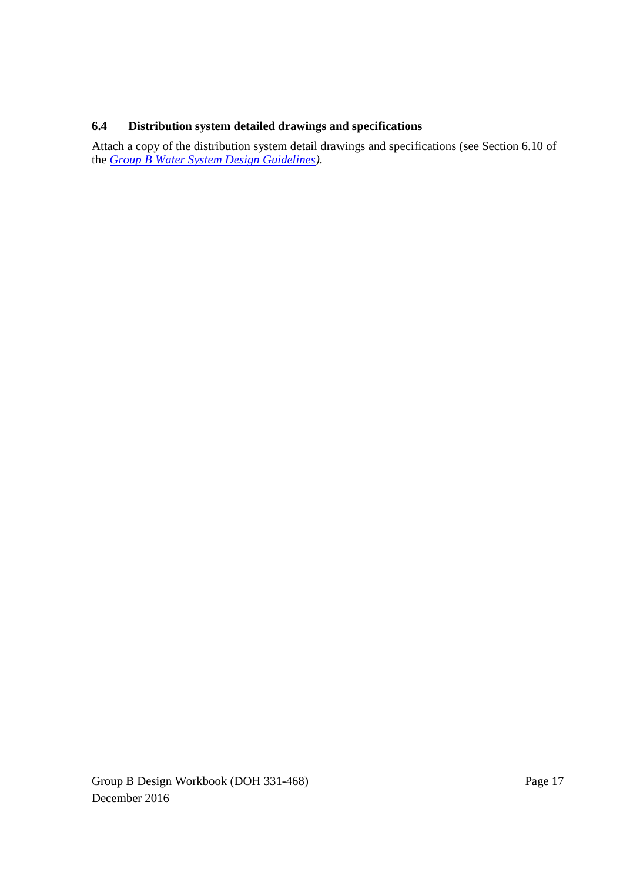# **6.4 Distribution system detailed drawings and specifications**

Attach a copy of the distribution system detail drawings and specifications (see Section 6.10 of the *Group B Water System Design Guidelines).*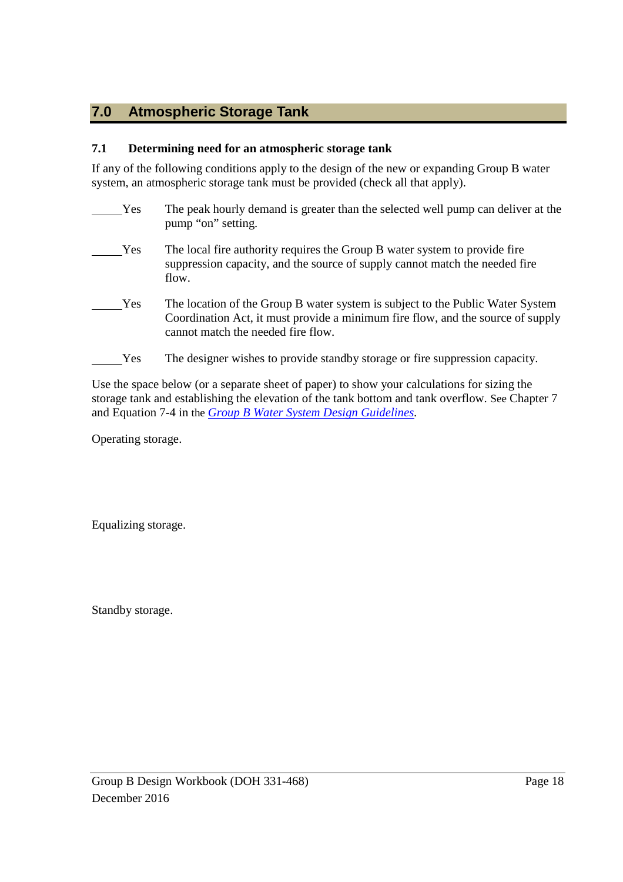# **7.0 Atmospheric Storage Tank**

### **7.1 Determining need for an atmospheric storage tank**

If any of the following conditions apply to the design of the new or expanding Group B water system, an atmospheric storage tank must be provided (check all that apply).

Yes The peak hourly demand is greater than the selected well pump can deliver at the pump "on" setting. Yes The local fire authority requires the Group B water system to provide fire suppression capacity, and the source of supply cannot match the needed fire flow. Yes The location of the Group B water system is subject to the Public Water System Coordination Act, it must provide a minimum fire flow, and the source of supply cannot match the needed fire flow. Yes The designer wishes to provide standby storage or fire suppression capacity.

Use the space below (or a separate sheet of paper) to show your calculations for sizing the storage tank and establishing the elevation of the tank bottom and tank overflow. See Chapter 7 and Equation 7-4 in the *Group B Water System Design Guidelines.*

Operating storage.

Equalizing storage.

Standby storage.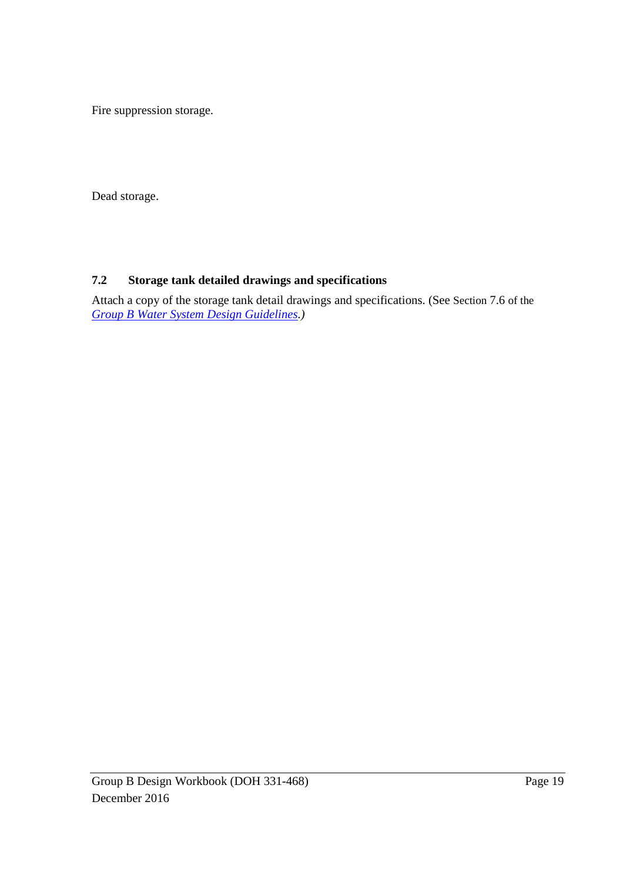Fire suppression storage.

Dead storage.

# **7.2 Storage tank detailed drawings and specifications**

Attach a copy of the storage tank detail drawings and specifications. (See Section 7.6 of the *Group B Water System Design Guidelines.)*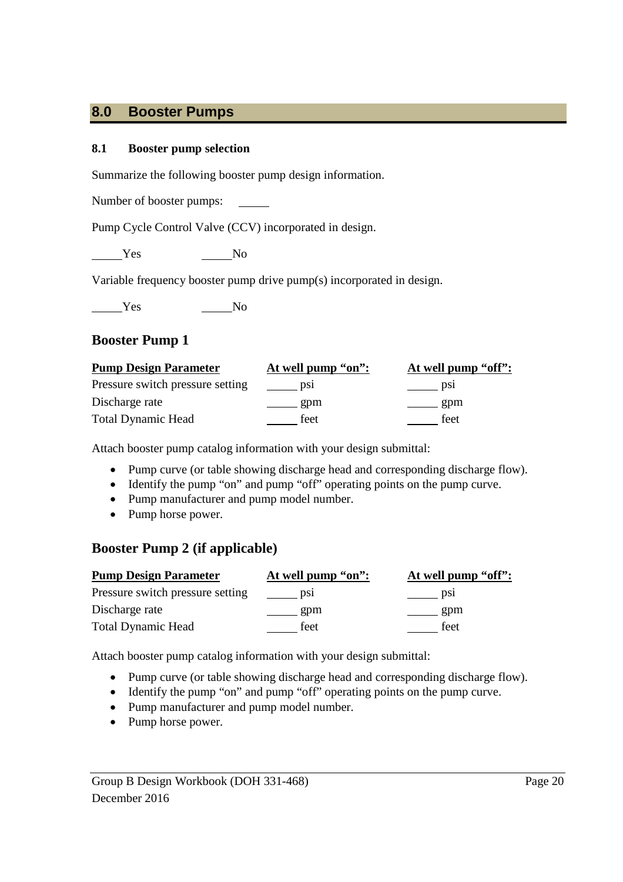# **8.0 Booster Pumps**

#### **8.1 Booster pump selection**

Summarize the following booster pump design information.

Number of booster pumps:

Pump Cycle Control Valve (CCV) incorporated in design.

Yes No

Variable frequency booster pump drive pump(s) incorporated in design.

Yes No

# **Booster Pump 1**

| <b>Pump Design Parameter</b>     | At well pump "on": | At well pump "off": |
|----------------------------------|--------------------|---------------------|
| Pressure switch pressure setting | D <sub>S1</sub>    | DS1                 |
| Discharge rate                   | gpm                | gpm                 |
| <b>Total Dynamic Head</b>        | feet               | feet                |

Attach booster pump catalog information with your design submittal:

- Pump curve (or table showing discharge head and corresponding discharge flow).
- Identify the pump "on" and pump "off" operating points on the pump curve.
- Pump manufacturer and pump model number.
- Pump horse power.

# **Booster Pump 2 (if applicable)**

| <b>Pump Design Parameter</b>     | At well pump "on": | At well pump "off": |
|----------------------------------|--------------------|---------------------|
| Pressure switch pressure setting | DS1                | DS1                 |
| Discharge rate                   | gpm                | gpm                 |
| <b>Total Dynamic Head</b>        | feet               | feet                |

Attach booster pump catalog information with your design submittal:

- Pump curve (or table showing discharge head and corresponding discharge flow).
- Identify the pump "on" and pump "off" operating points on the pump curve.
- Pump manufacturer and pump model number.
- Pump horse power.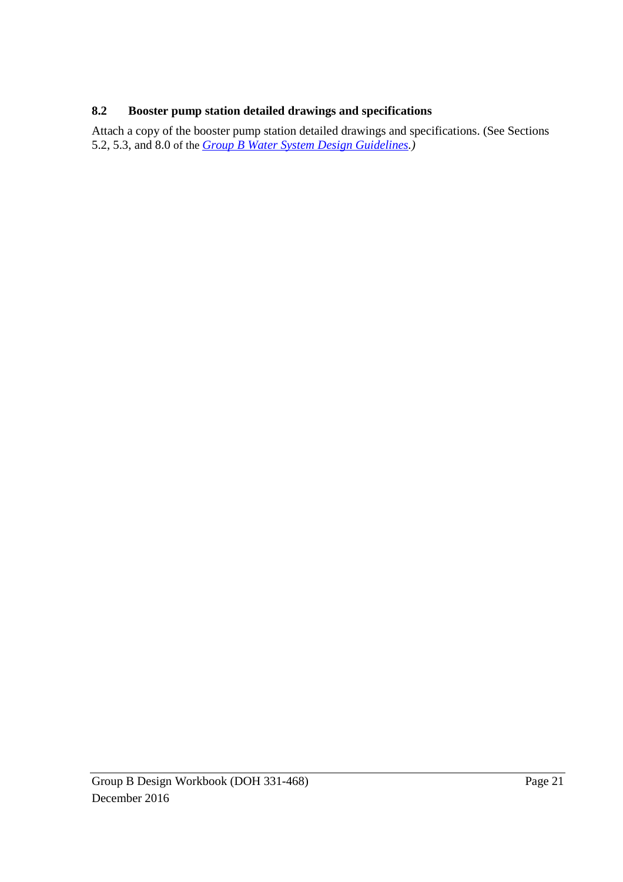# **8.2 Booster pump station detailed drawings and specifications**

Attach a copy of the booster pump station detailed drawings and specifications. (See Sections 5.2, 5.3, and 8.0 of the *Group B Water System Design Guidelines.)*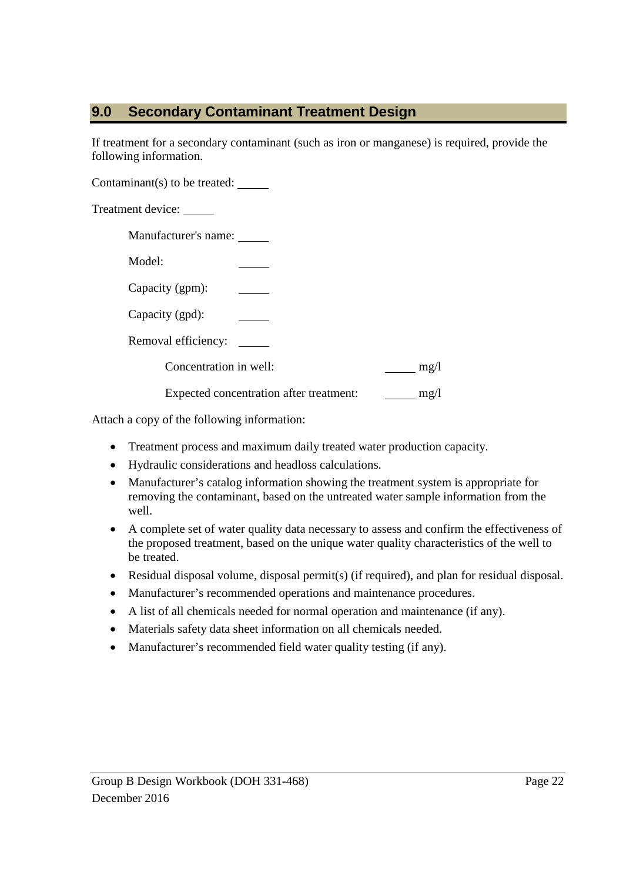# **9.0 Secondary Contaminant Treatment Design**

If treatment for a secondary contaminant (such as iron or manganese) is required, provide the following information.

Contaminant(s) to be treated:

Treatment device:

Manufacturer's name:

Model:

Capacity (gpm):

Capacity (gpd):

Removal efficiency:

Concentration in well: mg/l

Expected concentration after treatment: mg/l

Attach a copy of the following information:

- Treatment process and maximum daily treated water production capacity.
- Hydraulic considerations and headloss calculations.
- Manufacturer's catalog information showing the treatment system is appropriate for removing the contaminant, based on the untreated water sample information from the well.
- A complete set of water quality data necessary to assess and confirm the effectiveness of the proposed treatment, based on the unique water quality characteristics of the well to be treated.
- Residual disposal volume, disposal permit(s) (if required), and plan for residual disposal.
- Manufacturer's recommended operations and maintenance procedures.
- A list of all chemicals needed for normal operation and maintenance (if any).
- Materials safety data sheet information on all chemicals needed.
- Manufacturer's recommended field water quality testing (if any).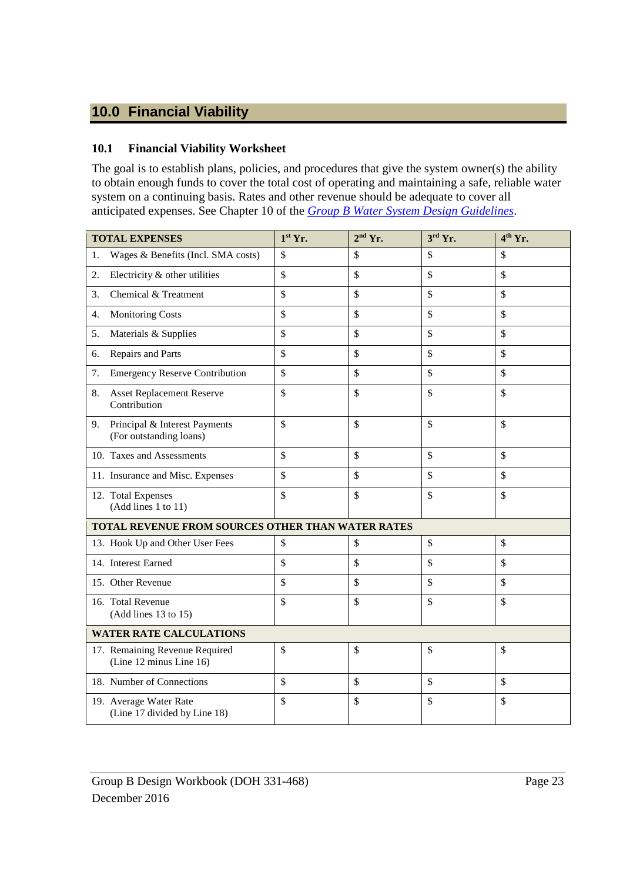# **10.0 Financial Viability**

### **10.1 Financial Viability Worksheet**

The goal is to establish plans, policies, and procedures that give the system owner(s) the ability to obtain enough funds to cover the total cost of operating and maintaining a safe, reliable water system on a continuing basis. Rates and other revenue should be adequate to cover all anticipated expenses. See Chapter 10 of the *Group B Water System Design Guidelines*.

|                                                   | <b>TOTAL EXPENSES</b>                                     | $1st$ Yr.     | $2nd$ Yr.     | $3^{\text{rd}}$ Yr. | $4th$ Yr.     |
|---------------------------------------------------|-----------------------------------------------------------|---------------|---------------|---------------------|---------------|
| 1.                                                | Wages & Benefits (Incl. SMA costs)                        | $\mathcal{S}$ | \$            | \$                  | $\mathbb{S}$  |
| 2.                                                | Electricity & other utilities                             | $\mathcal{S}$ | $\mathsf{\$}$ | \$                  | $\mathbb{S}$  |
| 3.                                                | Chemical & Treatment                                      | \$            | \$            | \$                  | \$            |
| 4.                                                | <b>Monitoring Costs</b>                                   | \$            | \$            | \$                  | \$            |
| 5.                                                | Materials & Supplies                                      | \$            | \$            | \$                  | \$            |
| 6.                                                | Repairs and Parts                                         | $\mathcal{S}$ | \$            | \$                  | $\mathcal{S}$ |
| 7.                                                | <b>Emergency Reserve Contribution</b>                     | \$            | \$            | \$                  | $\mathcal{S}$ |
| 8.                                                | <b>Asset Replacement Reserve</b><br>Contribution          | \$            | \$            | \$                  | \$            |
| 9.                                                | Principal & Interest Payments<br>(For outstanding loans)  | \$            | \$            | \$                  | $\mathcal{S}$ |
|                                                   | 10. Taxes and Assessments                                 | \$            | \$            | \$                  | $\mathbb{S}$  |
|                                                   | 11. Insurance and Misc. Expenses                          | \$            | \$            | \$                  | $\mathbb{S}$  |
|                                                   | 12. Total Expenses<br>(Add lines 1 to 11)                 | \$            | \$            | \$                  | $\mathsf{\$}$ |
| TOTAL REVENUE FROM SOURCES OTHER THAN WATER RATES |                                                           |               |               |                     |               |
|                                                   | 13. Hook Up and Other User Fees                           | \$            | \$            | $\mathsf{\$}$       | $\mathcal{S}$ |
|                                                   | 14. Interest Earned                                       | \$            | \$            | \$                  | \$            |
|                                                   | 15. Other Revenue                                         | \$            | \$            | \$                  | $\mathcal{S}$ |
|                                                   | 16. Total Revenue<br>(Add lines 13 to 15)                 | \$            | \$            | \$                  | $\mathcal{S}$ |
| <b>WATER RATE CALCULATIONS</b>                    |                                                           |               |               |                     |               |
|                                                   | 17. Remaining Revenue Required<br>(Line 12 minus Line 16) | \$            | \$            | \$                  | \$            |
|                                                   | 18. Number of Connections                                 | $\mathcal{S}$ | \$            | \$                  | $\mathcal{S}$ |
|                                                   | 19. Average Water Rate<br>(Line 17 divided by Line 18)    | \$            | \$            | \$                  | \$            |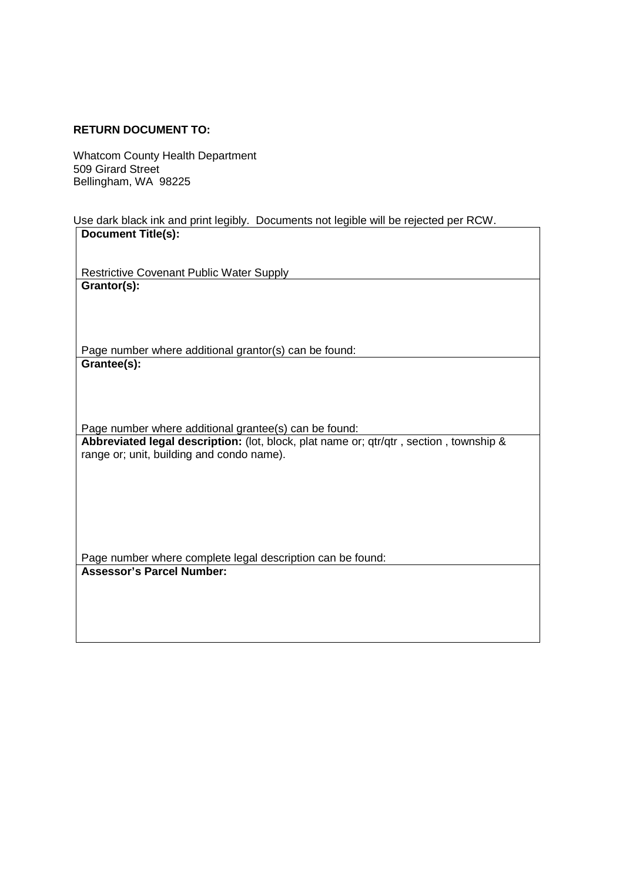#### **RETURN DOCUMENT TO:**

Whatcom County Health Department 509 Girard Street Bellingham, WA 98225

Use dark black ink and print legibly. Documents not legible will be rejected per RCW. **Document Title(s):**

Restrictive Covenant Public Water Supply **Grantor(s):**

Page number where additional grantor(s) can be found: **Grantee(s):**

Page number where additional grantee(s) can be found: **Abbreviated legal description:** (lot, block, plat name or; qtr/qtr , section , township & range or; unit, building and condo name).

Page number where complete legal description can be found: **Assessor's Parcel Number:**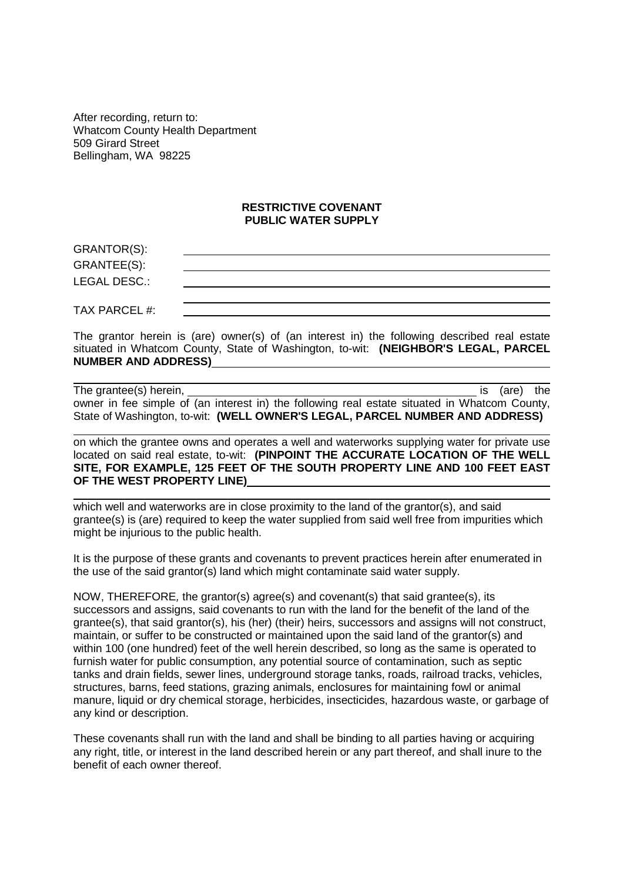After recording, return to: Whatcom County Health Department 509 Girard Street Bellingham, WA 98225

#### **RESTRICTIVE COVENANT PUBLIC WATER SUPPLY**

GRANTOR(S): GRANTEE(S): LEGAL DESC.:

TAX PARCEL #:

The grantor herein is (are) owner(s) of (an interest in) the following described real estate situated in Whatcom County, State of Washington, to-wit: **(NEIGHBOR'S LEGAL, PARCEL NUMBER AND ADDRESS)**

The grantee(s) herein, is (are) the grantee(s) herein, owner in fee simple of (an interest in) the following real estate situated in Whatcom County, State of Washington, to-wit: **(WELL OWNER'S LEGAL, PARCEL NUMBER AND ADDRESS)**

on which the grantee owns and operates a well and waterworks supplying water for private use located on said real estate, to-wit: **(PINPOINT THE ACCURATE LOCATION OF THE WELL SITE, FOR EXAMPLE, 125 FEET OF THE SOUTH PROPERTY LINE AND 100 FEET EAST OF THE WEST PROPERTY LINE)**

which well and waterworks are in close proximity to the land of the grantor(s), and said grantee(s) is (are) required to keep the water supplied from said well free from impurities which might be injurious to the public health.

It is the purpose of these grants and covenants to prevent practices herein after enumerated in the use of the said grantor(s) land which might contaminate said water supply.

NOW, THEREFORE*,* the grantor(s) agree(s) and covenant(s) that said grantee(s), its successors and assigns, said covenants to run with the land for the benefit of the land of the grantee(s), that said grantor(s), his (her) (their) heirs, successors and assigns will not construct, maintain, or suffer to be constructed or maintained upon the said land of the grantor(s) and within 100 (one hundred) feet of the well herein described, so long as the same is operated to furnish water for public consumption, any potential source of contamination, such as septic tanks and drain fields, sewer lines, underground storage tanks, roads, railroad tracks, vehicles, structures, barns, feed stations, grazing animals, enclosures for maintaining fowl or animal manure, liquid or dry chemical storage, herbicides, insecticides, hazardous waste, or garbage of any kind or description.

These covenants shall run with the land and shall be binding to all parties having or acquiring any right, title, or interest in the land described herein or any part thereof, and shall inure to the benefit of each owner thereof.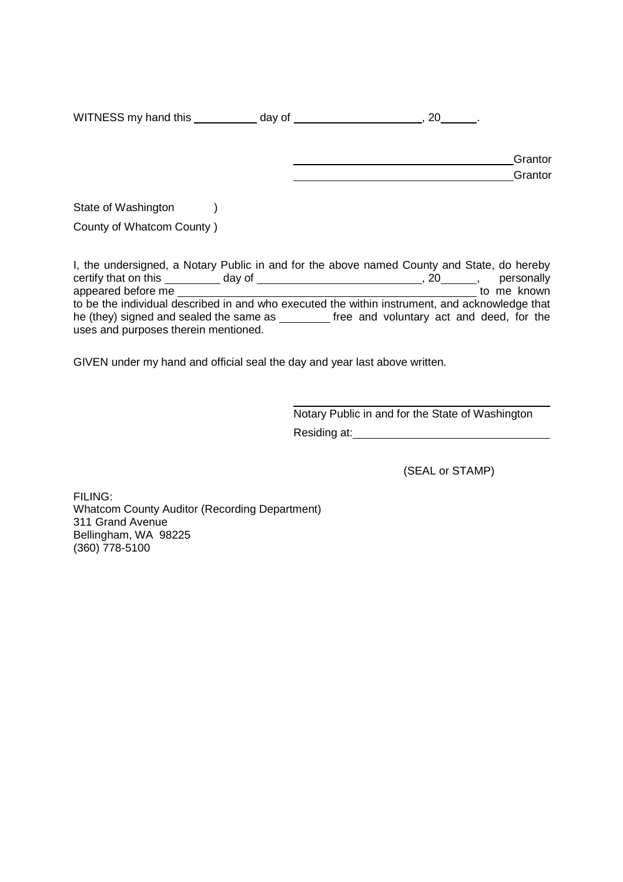WITNESS my hand this  $\_\_\_\_$  day of  $\_\_\_\_\_\_$ , 20  $\_\_\_\_\$ 

| Grantor |
|---------|
| Grantor |

State of Washington (b)

County of Whatcom County )

I, the undersigned, a Notary Public in and for the above named County and State, do hereby certify that on this day of , 20 , personally appeared before me to me known to be the individual described in and who executed the within instrument, and acknowledge that he (they) signed and sealed the same as \_\_\_\_\_\_\_\_ free and voluntary act and deed, for the uses and purposes therein mentioned.

GIVEN under my hand and official seal the day and year last above written.

Notary Public in and for the State of Washington Residing at:

(SEAL or STAMP)

FILING: Whatcom County Auditor (Recording Department) 311 Grand Avenue Bellingham, WA 98225 (360) 778-5100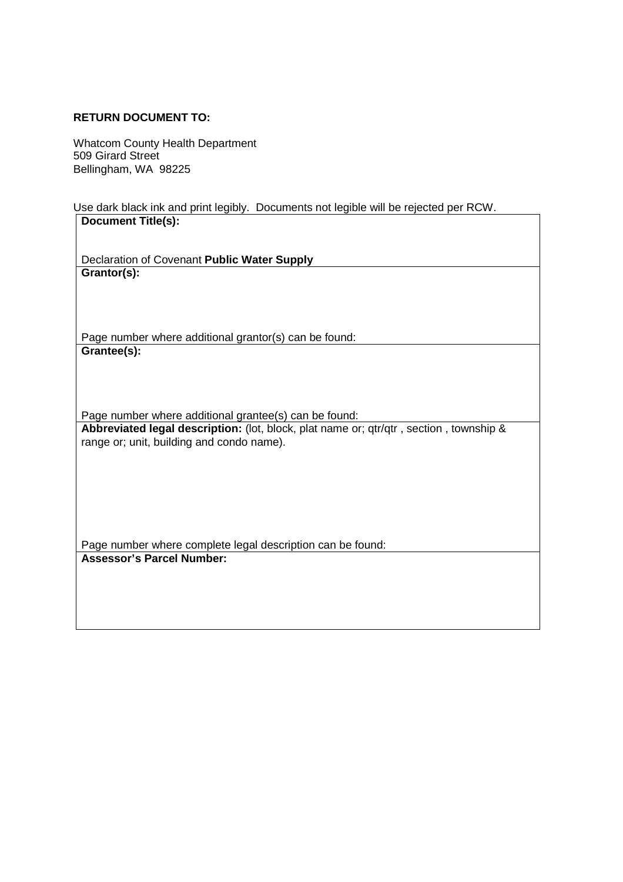#### **RETURN DOCUMENT TO:**

Whatcom County Health Department 509 Girard Street Bellingham, WA 98225

Use dark black ink and print legibly. Documents not legible will be rejected per RCW. **Document Title(s):**

Declaration of Covenant **Public Water Supply Grantor(s):**

Page number where additional grantor(s) can be found: **Grantee(s):**

Page number where additional grantee(s) can be found:

**Abbreviated legal description:** (lot, block, plat name or; qtr/qtr , section , township & range or; unit, building and condo name).

Page number where complete legal description can be found: **Assessor's Parcel Number:**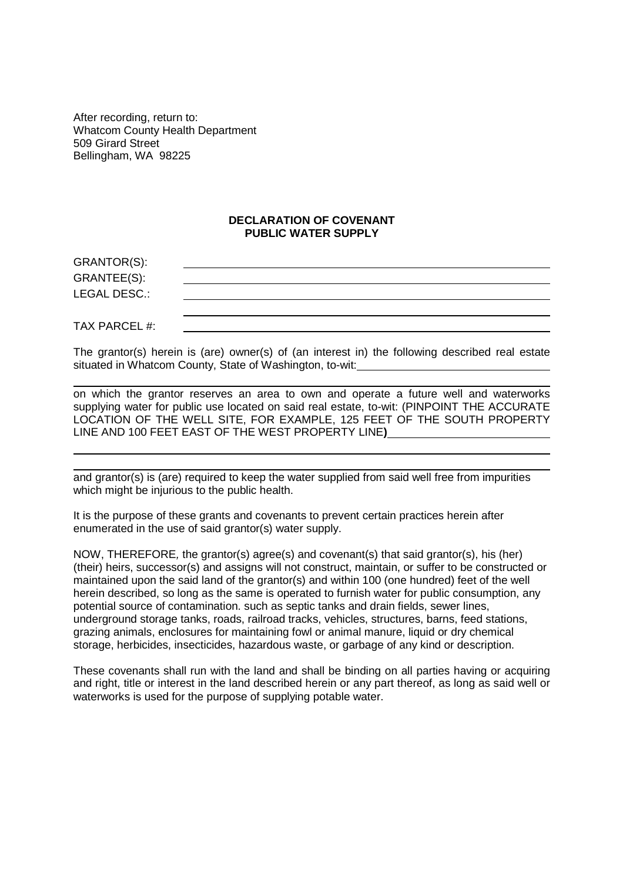After recording, return to: Whatcom County Health Department 509 Girard Street Bellingham, WA 98225

#### **DECLARATION OF COVENANT PUBLIC WATER SUPPLY**

GRANTOR(S): GRANTEE(S): LEGAL DESC.:

TAX PARCEL #:

The grantor(s) herein is (are) owner(s) of (an interest in) the following described real estate situated in Whatcom County, State of Washington, to-wit:

on which the grantor reserves an area to own and operate a future well and waterworks supplying water for public use located on said real estate, to-wit: (PINPOINT THE ACCURATE LOCATION OF THE WELL SITE, FOR EXAMPLE, 125 FEET OF THE SOUTH PROPERTY LINE AND 100 FEET EAST OF THE WEST PROPERTY LINE**)**

and grantor(s) is (are) required to keep the water supplied from said well free from impurities which might be injurious to the public health.

It is the purpose of these grants and covenants to prevent certain practices herein after enumerated in the use of said grantor(s) water supply.

NOW, THEREFORE*,* the grantor(s) agree(s) and covenant(s) that said grantor(s), his (her) (their) heirs, successor(s) and assigns will not construct, maintain, or suffer to be constructed or maintained upon the said land of the grantor(s) and within 100 (one hundred) feet of the well herein described, so long as the same is operated to furnish water for public consumption, any potential source of contamination. such as septic tanks and drain fields, sewer lines, underground storage tanks, roads, railroad tracks, vehicles, structures, barns, feed stations, grazing animals, enclosures for maintaining fowl or animal manure, liquid or dry chemical storage, herbicides, insecticides, hazardous waste, or garbage of any kind or description.

These covenants shall run with the land and shall be binding on all parties having or acquiring and right, title or interest in the land described herein or any part thereof, as long as said well or waterworks is used for the purpose of supplying potable water.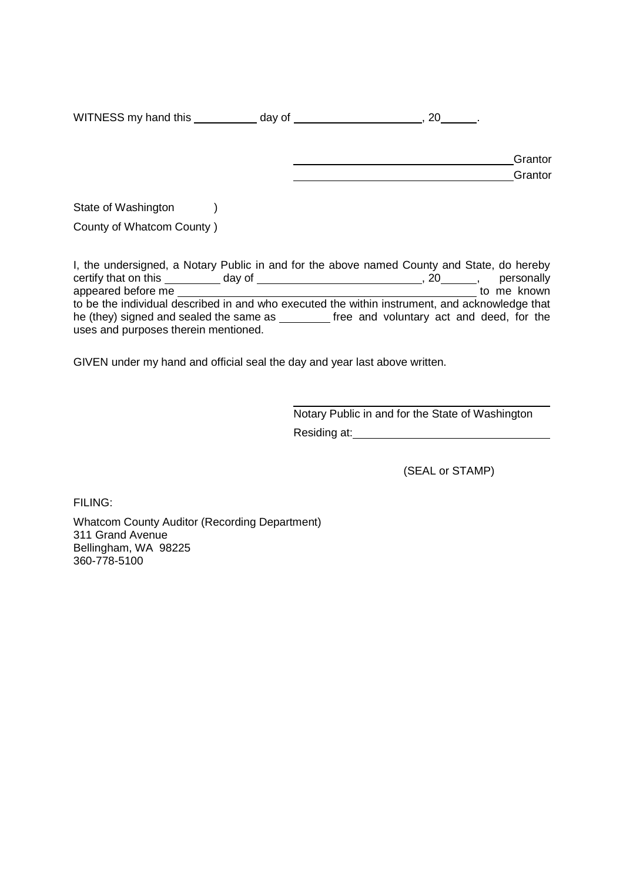WITNESS my hand this  $\_\_\_\_$  day of  $\_\_\_\_\_\_\_$ , 20  $\_\_\_\_\_\$ 

| Grantor |
|---------|
| Grantor |

State of Washington (b)

County of Whatcom County )

I, the undersigned, a Notary Public in and for the above named County and State, do hereby certify that on this day of , 20 , personally appeared before me to me known to be the individual described in and who executed the within instrument, and acknowledge that he (they) signed and sealed the same as \_\_\_\_\_\_\_\_ free and voluntary act and deed, for the uses and purposes therein mentioned.

GIVEN under my hand and official seal the day and year last above written.

Notary Public in and for the State of Washington Residing at:

(SEAL or STAMP)

FILING:

Whatcom County Auditor (Recording Department) 311 Grand Avenue Bellingham, WA 98225 360-778-5100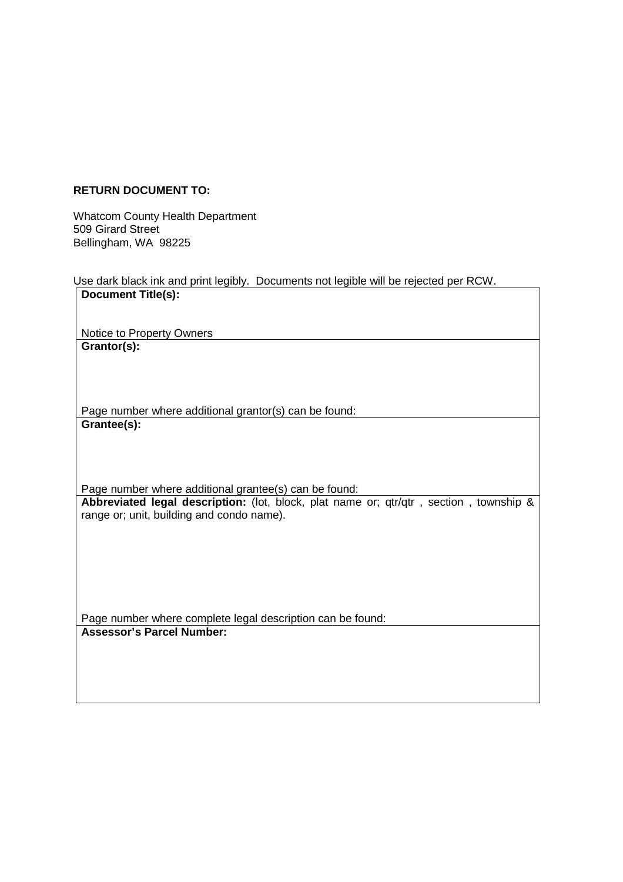# **RETURN DOCUMENT TO:**

Whatcom County Health Department 509 Girard Street Bellingham, WA 98225

Use dark black ink and print legibly. Documents not legible will be rejected per RCW.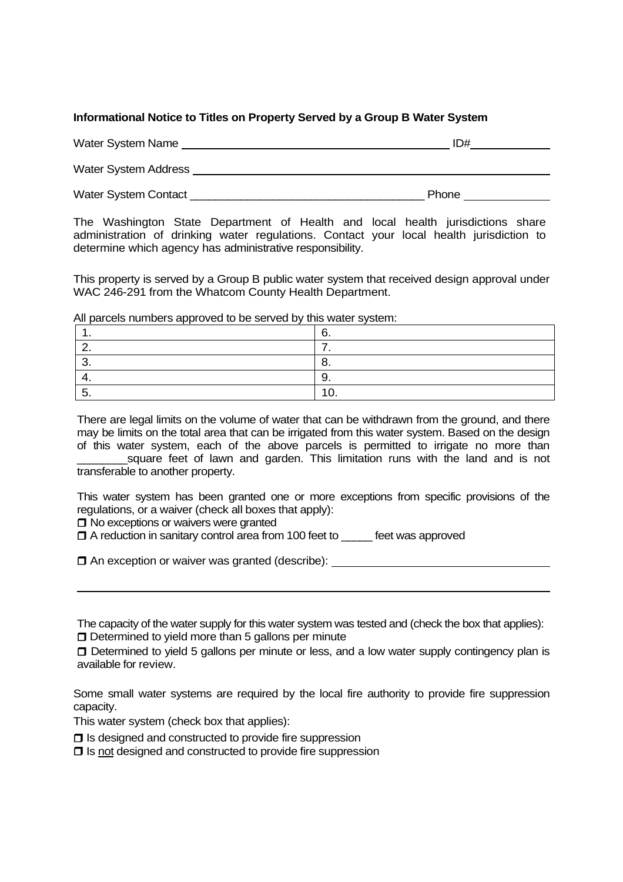#### **Informational Notice to Titles on Property Served by a Group B Water System**

| <b>Water System Name</b> | ID# |
|--------------------------|-----|
|                          |     |

Water System Address **Water System Address** 

Water System Contact **Example 2018 Mater** System Contact **Algebra** 

The Washington State Department of Health and local health jurisdictions share administration of drinking water regulations. Contact your local health jurisdiction to determine which agency has administrative responsibility.

This property is served by a Group B public water system that received design approval under WAC 246-291 from the Whatcom County Health Department.

1.  $\vert 6.$ 2.  $\vert$  7.  $3.$  8.  $4.$  9.  $5.$  10.

All parcels numbers approved to be served by this water system:

There are legal limits on the volume of water that can be withdrawn from the ground, and there may be limits on the total area that can be irrigated from this water system. Based on the design of this water system, each of the above parcels is permitted to irrigate no more than square feet of lawn and garden. This limitation runs with the land and is not transferable to another property.

This water system has been granted one or more exceptions from specific provisions of the regulations, or a waiver (check all boxes that apply):

 $\Box$  No exceptions or waivers were granted

 $\Box$  A reduction in sanitary control area from 100 feet to feet was approved

 $\Box$  An exception or waiver was granted (describe):

The capacity of the water supply for this water system was tested and (check the box that applies):

 $\Box$  Determined to yield more than 5 gallons per minute

□ Determined to yield 5 gallons per minute or less, and a low water supply contingency plan is available for review.

Some small water systems are required by the local fire authority to provide fire suppression capacity.

This water system (check box that applies):

 $\Box$  Is designed and constructed to provide fire suppression

 $\square$  Is not designed and constructed to provide fire suppression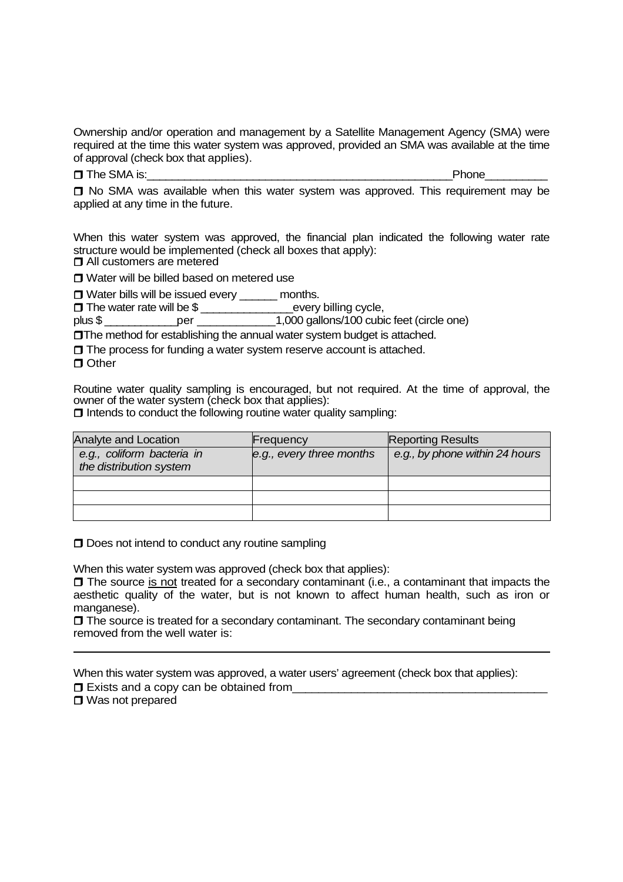Ownership and/or operation and management by a Satellite Management Agency (SMA) were required at the time this water system was approved, provided an SMA was available at the time of approval (check box that applies).

 $\Box$  The SMA is:  $\Box$ 

 $\Box$  No SMA was available when this water system was approved. This requirement may be applied at any time in the future.

When this water system was approved, the financial plan indicated the following water rate structure would be implemented (check all boxes that apply):  $\Box$  All customers are metered

**□ Water will be billed based on metered use** 

 $\Box$  Water bills will be issued every months.

□ The water rate will be \$ \_\_\_\_\_\_\_\_\_\_\_\_\_\_\_\_\_\_\_\_every billing cycle,

plus \$ \_\_\_\_\_\_\_\_\_\_\_\_per \_\_\_\_\_\_\_\_\_\_\_\_1,000 gallons/100 cubic feet (circle one)

**The method for establishing the annual water system budget is attached.** 

 $\Box$  The process for funding a water system reserve account is attached.

 $\Box$  Other

Routine water quality sampling is encouraged, but not required. At the time of approval, the owner of the water system (check box that applies):

 $\Box$  Intends to conduct the following routine water quality sampling:

| Analyte and Location                                  | Frequency                | <b>Reporting Results</b>       |
|-------------------------------------------------------|--------------------------|--------------------------------|
| e.g., coliform bacteria in<br>the distribution system | e.g., every three months | e.g., by phone within 24 hours |
|                                                       |                          |                                |
|                                                       |                          |                                |
|                                                       |                          |                                |

**D** Does not intend to conduct any routine sampling

When this water system was approved (check box that applies):

 $\Box$  The source is not treated for a secondary contaminant (i.e., a contaminant that impacts the aesthetic quality of the water, but is not known to affect human health, such as iron or manganese).

 $\Box$  The source is treated for a secondary contaminant. The secondary contaminant being removed from the well water is:

When this water system was approved, a water users' agreement (check box that applies):

 $\Box$  Exists and a copy can be obtained from

□ Was not prepared